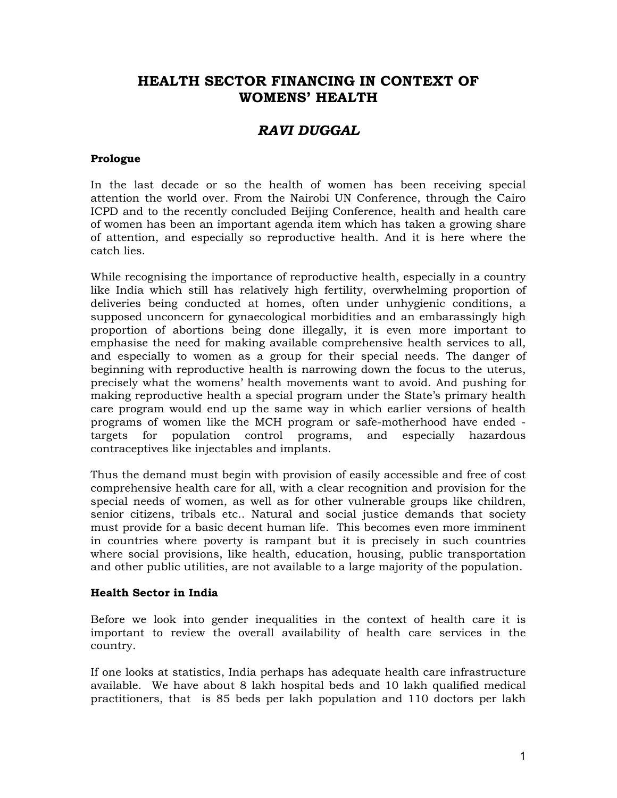# **HEALTH SECTOR FINANCING IN CONTEXT OF WOMENS' HEALTH**

# *RAVI DUGGAL*

### **Prologue**

In the last decade or so the health of women has been receiving special attention the world over. From the Nairobi UN Conference, through the Cairo ICPD and to the recently concluded Beijing Conference, health and health care of women has been an important agenda item which has taken a growing share of attention, and especially so reproductive health. And it is here where the catch lies.

While recognising the importance of reproductive health, especially in a country like India which still has relatively high fertility, overwhelming proportion of deliveries being conducted at homes, often under unhygienic conditions, a supposed unconcern for gynaecological morbidities and an embarassingly high proportion of abortions being done illegally, it is even more important to emphasise the need for making available comprehensive health services to all, and especially to women as a group for their special needs. The danger of beginning with reproductive health is narrowing down the focus to the uterus, precisely what the womens' health movements want to avoid. And pushing for making reproductive health a special program under the State's primary health care program would end up the same way in which earlier versions of health programs of women like the MCH program or safe-motherhood have ended targets for population control programs, and especially hazardous contraceptives like injectables and implants.

Thus the demand must begin with provision of easily accessible and free of cost comprehensive health care for all, with a clear recognition and provision for the special needs of women, as well as for other vulnerable groups like children, senior citizens, tribals etc.. Natural and social justice demands that society must provide for a basic decent human life. This becomes even more imminent in countries where poverty is rampant but it is precisely in such countries where social provisions, like health, education, housing, public transportation and other public utilities, are not available to a large majority of the population.

#### **Health Sector in India**

Before we look into gender inequalities in the context of health care it is important to review the overall availability of health care services in the country.

If one looks at statistics, India perhaps has adequate health care infrastructure available. We have about 8 lakh hospital beds and 10 lakh qualified medical practitioners, that is 85 beds per lakh population and 110 doctors per lakh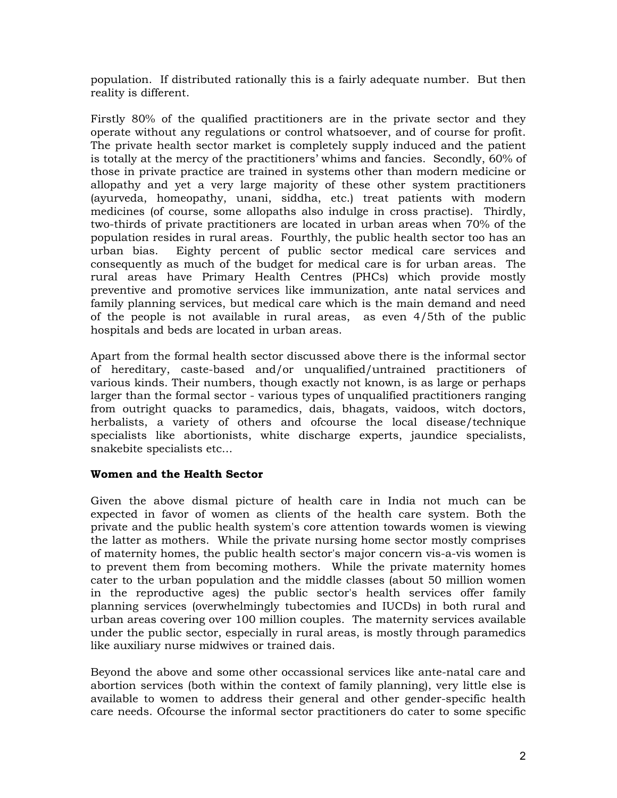population. If distributed rationally this is a fairly adequate number. But then reality is different.

Firstly 80% of the qualified practitioners are in the private sector and they operate without any regulations or control whatsoever, and of course for profit. The private health sector market is completely supply induced and the patient is totally at the mercy of the practitioners' whims and fancies. Secondly, 60% of those in private practice are trained in systems other than modern medicine or allopathy and yet a very large majority of these other system practitioners (ayurveda, homeopathy, unani, siddha, etc.) treat patients with modern medicines (of course, some allopaths also indulge in cross practise). Thirdly, two-thirds of private practitioners are located in urban areas when 70% of the population resides in rural areas. Fourthly, the public health sector too has an urban bias. Eighty percent of public sector medical care services and consequently as much of the budget for medical care is for urban areas. The rural areas have Primary Health Centres (PHCs) which provide mostly preventive and promotive services like immunization, ante natal services and family planning services, but medical care which is the main demand and need of the people is not available in rural areas, as even 4/5th of the public hospitals and beds are located in urban areas.

Apart from the formal health sector discussed above there is the informal sector of hereditary, caste-based and/or unqualified/untrained practitioners of various kinds. Their numbers, though exactly not known, is as large or perhaps larger than the formal sector - various types of unqualified practitioners ranging from outright quacks to paramedics, dais, bhagats, vaidoos, witch doctors, herbalists, a variety of others and ofcourse the local disease/technique specialists like abortionists, white discharge experts, jaundice specialists, snakebite specialists etc...

# **Women and the Health Sector**

Given the above dismal picture of health care in India not much can be expected in favor of women as clients of the health care system. Both the private and the public health system's core attention towards women is viewing the latter as mothers. While the private nursing home sector mostly comprises of maternity homes, the public health sector's major concern vis-a-vis women is to prevent them from becoming mothers. While the private maternity homes cater to the urban population and the middle classes (about 50 million women in the reproductive ages) the public sector's health services offer family planning services (overwhelmingly tubectomies and IUCDs) in both rural and urban areas covering over 100 million couples. The maternity services available under the public sector, especially in rural areas, is mostly through paramedics like auxiliary nurse midwives or trained dais.

Beyond the above and some other occassional services like ante-natal care and abortion services (both within the context of family planning), very little else is available to women to address their general and other gender-specific health care needs. Ofcourse the informal sector practitioners do cater to some specific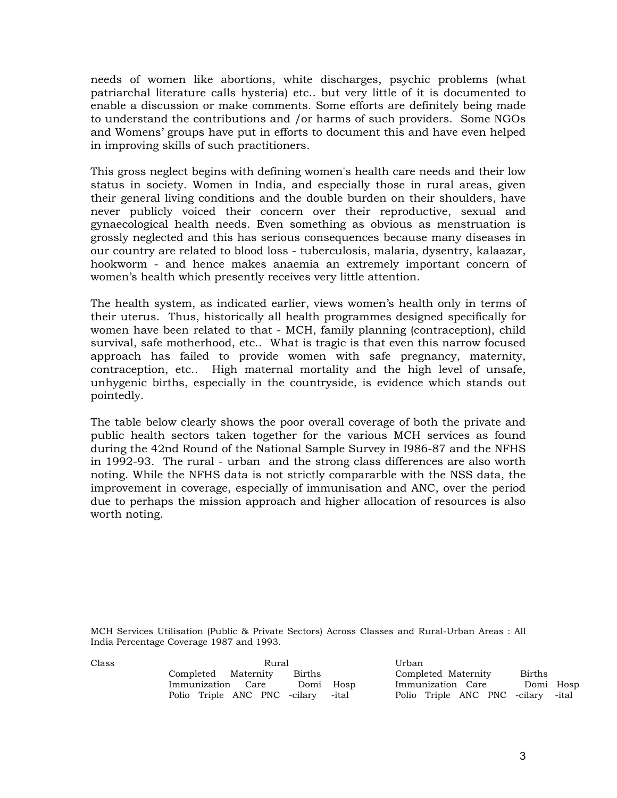needs of women like abortions, white discharges, psychic problems (what patriarchal literature calls hysteria) etc.. but very little of it is documented to enable a discussion or make comments. Some efforts are definitely being made to understand the contributions and /or harms of such providers. Some NGOs and Womens' groups have put in efforts to document this and have even helped in improving skills of such practitioners.

This gross neglect begins with defining women's health care needs and their low status in society. Women in India, and especially those in rural areas, given their general living conditions and the double burden on their shoulders, have never publicly voiced their concern over their reproductive, sexual and gynaecological health needs. Even something as obvious as menstruation is grossly neglected and this has serious consequences because many diseases in our country are related to blood loss - tuberculosis, malaria, dysentry, kalaazar, hookworm - and hence makes anaemia an extremely important concern of women's health which presently receives very little attention.

The health system, as indicated earlier, views women's health only in terms of their uterus. Thus, historically all health programmes designed specifically for women have been related to that - MCH, family planning (contraception), child survival, safe motherhood, etc.. What is tragic is that even this narrow focused approach has failed to provide women with safe pregnancy, maternity, contraception, etc.. High maternal mortality and the high level of unsafe, unhygenic births, especially in the countryside, is evidence which stands out pointedly.

The table below clearly shows the poor overall coverage of both the private and public health sectors taken together for the various MCH services as found during the 42nd Round of the National Sample Survey in I986-87 and the NFHS in 1992-93. The rural - urban and the strong class differences are also worth noting. While the NFHS data is not strictly compararble with the NSS data, the improvement in coverage, especially of immunisation and ANC, over the period due to perhaps the mission approach and higher allocation of resources is also worth noting.

MCH Services Utilisation (Public & Private Sectors) Across Classes and Rural-Urban Areas : All India Percentage Coverage 1987 and 1993.

| Class | Rural                              |           | Urban                              |           |
|-------|------------------------------------|-----------|------------------------------------|-----------|
|       | Completed Maternity<br>Births      |           | Completed Maternity                | Births    |
|       | Immunization Care                  | Domi Hosp | Immunization Care                  | Domi Hosp |
|       | Polio Triple ANC PNC -cilary -ital |           | Polio Triple ANC PNC -cilary -ital |           |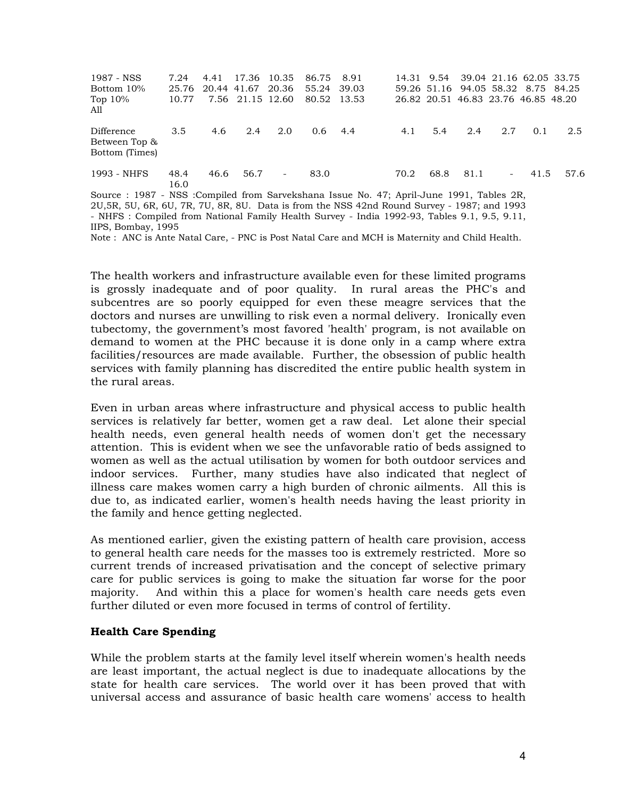| 1987 - NSS<br>Bottom 10%<br>Top $10\%$<br>All                                                                                                                                                                                                                                            | 7.24<br>25.76<br>10.77 | 4.41 | 17.36 10.35<br>20.44 41.67 20.36<br>7.56 21.15 12.60 |        | 86.75 8.91<br>55.24<br>80.52 13.53 | 39.03 |      |      | 14.31 9.54 39.04 21.16 62.05 33.75<br>59.26 51.16 94.05 58.32 8.75 84.25<br>26.82 20.51 46.83 23.76 46.85 48.20 |     |         |      |
|------------------------------------------------------------------------------------------------------------------------------------------------------------------------------------------------------------------------------------------------------------------------------------------|------------------------|------|------------------------------------------------------|--------|------------------------------------|-------|------|------|-----------------------------------------------------------------------------------------------------------------|-----|---------|------|
| Difference<br>Between Top &<br>Bottom (Times)                                                                                                                                                                                                                                            | 3.5                    | 4.6  | 2.4                                                  | 2.0    | $0.6^{\circ}$                      | 4.4   | 4.1  | 5.4  | 2.4                                                                                                             | 2.7 | 0.1     | 2.5  |
| 1993 - NHFS                                                                                                                                                                                                                                                                              | 48.4<br>16.0           | 46.6 | 56.7                                                 | $\sim$ | 83.0                               |       | 70.2 | 68.8 | 81.1                                                                                                            |     | $-41.5$ | 57.6 |
| Source : 1987 - NSS : Compiled from Sarvekshana Issue No. 47; April-June 1991, Tables 2R,<br>2U, 5R, 5U, 6R, 6U, 7R, 7U, 8R, 8U. Data is from the NSS 42nd Round Survey - 1987; and 1993<br>- NHFS : Compiled from National Family Health Survey - India 1992-93, Tables 9.1, 9.5, 9.11, |                        |      |                                                      |        |                                    |       |      |      |                                                                                                                 |     |         |      |

IIPS, Bombay, 1995

Note : ANC is Ante Natal Care, - PNC is Post Natal Care and MCH is Maternity and Child Health.

The health workers and infrastructure available even for these limited programs is grossly inadequate and of poor quality. In rural areas the PHC's and subcentres are so poorly equipped for even these meagre services that the doctors and nurses are unwilling to risk even a normal delivery. Ironically even tubectomy, the government's most favored 'health' program, is not available on demand to women at the PHC because it is done only in a camp where extra facilities/resources are made available. Further, the obsession of public health services with family planning has discredited the entire public health system in the rural areas.

Even in urban areas where infrastructure and physical access to public health services is relatively far better, women get a raw deal. Let alone their special health needs, even general health needs of women don't get the necessary attention. This is evident when we see the unfavorable ratio of beds assigned to women as well as the actual utilisation by women for both outdoor services and indoor services. Further, many studies have also indicated that neglect of illness care makes women carry a high burden of chronic ailments. All this is due to, as indicated earlier, women's health needs having the least priority in the family and hence getting neglected.

As mentioned earlier, given the existing pattern of health care provision, access to general health care needs for the masses too is extremely restricted. More so current trends of increased privatisation and the concept of selective primary care for public services is going to make the situation far worse for the poor majority. And within this a place for women's health care needs gets even further diluted or even more focused in terms of control of fertility.

### **Health Care Spending**

While the problem starts at the family level itself wherein women's health needs are least important, the actual neglect is due to inadequate allocations by the state for health care services. The world over it has been proved that with universal access and assurance of basic health care womens' access to health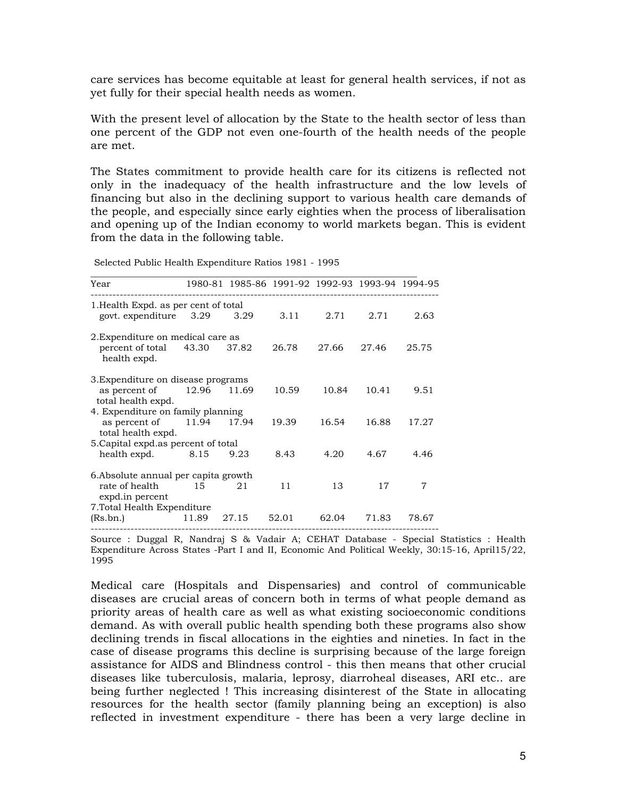care services has become equitable at least for general health services, if not as yet fully for their special health needs as women.

With the present level of allocation by the State to the health sector of less than one percent of the GDP not even one-fourth of the health needs of the people are met.

The States commitment to provide health care for its citizens is reflected not only in the inadequacy of the health infrastructure and the low levels of financing but also in the declining support to various health care demands of the people, and especially since early eighties when the process of liberalisation and opening up of the Indian economy to world markets began. This is evident from the data in the following table.

| Year                                      |             | 1980-81 1985-86 1991-92 1992-93 1993-94 1994-95 |       |       |       |       |
|-------------------------------------------|-------------|-------------------------------------------------|-------|-------|-------|-------|
| 1. Health Expd. as per cent of total      |             |                                                 |       |       |       |       |
| govt. expenditure 3.29                    |             | 3.29                                            | 3.11  | 2.71  | 2.71  | 2.63  |
| 2. Expenditure on medical care as         |             |                                                 |       |       |       |       |
| percent of total 43.30<br>health expd.    |             | 37.82                                           | 26.78 | 27.66 | 27.46 | 25.75 |
| 3. Expenditure on disease programs        |             |                                                 |       |       |       |       |
| as percent of 12.96<br>total health expd. |             | 11.69                                           | 10.59 | 10.84 | 10.41 | 9.51  |
| 4. Expenditure on family planning         |             |                                                 |       |       |       |       |
| as percent of<br>total health expd.       | 11.94 17.94 |                                                 | 19.39 | 16.54 | 16.88 | 17.27 |
| 5. Capital expd. as percent of total      |             |                                                 |       |       |       |       |
| health expd. 8.15                         |             | 9.23                                            | 8.43  | 4.20  | 4.67  | 4.46  |
| 6. Absolute annual per capita growth      |             |                                                 |       |       |       |       |
| rate of health<br>expd.in percent         | 15          | 21                                              | 11    | 13    | 17    | 7     |
| 7. Total Health Expenditure               |             |                                                 |       |       |       |       |
| (Rs,bn.)                                  | 11.89       | 27.15                                           | 52.01 | 62.04 | 71.83 | 78.67 |

Selected Public Health Expenditure Ratios 1981 - 1995

Source : Duggal R, Nandraj S & Vadair A; CEHAT Database - Special Statistics : Health Expenditure Across States -Part I and II, Economic And Political Weekly, 30:15-16, April15/22, 1995

Medical care (Hospitals and Dispensaries) and control of communicable diseases are crucial areas of concern both in terms of what people demand as priority areas of health care as well as what existing socioeconomic conditions demand. As with overall public health spending both these programs also show declining trends in fiscal allocations in the eighties and nineties. In fact in the case of disease programs this decline is surprising because of the large foreign assistance for AIDS and Blindness control - this then means that other crucial diseases like tuberculosis, malaria, leprosy, diarroheal diseases, ARI etc.. are being further neglected ! This increasing disinterest of the State in allocating resources for the health sector (family planning being an exception) is also reflected in investment expenditure - there has been a very large decline in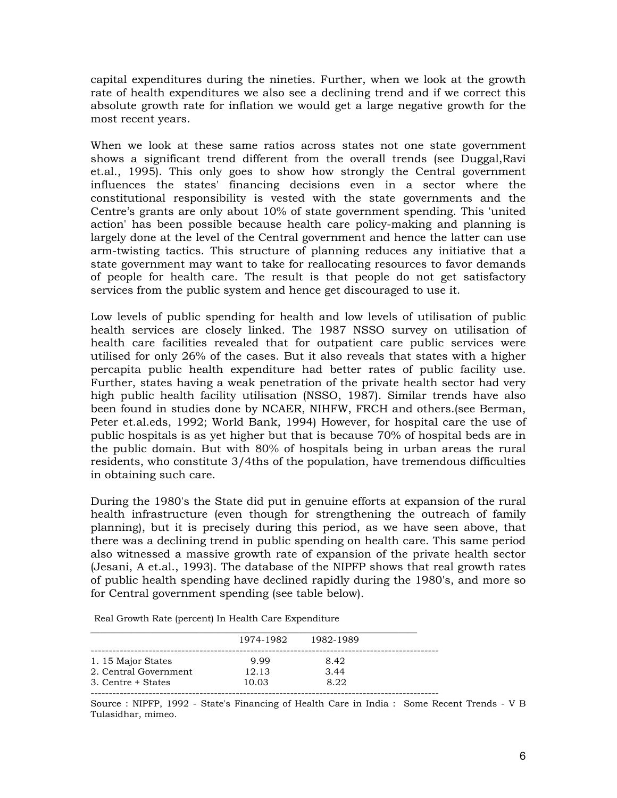capital expenditures during the nineties. Further, when we look at the growth rate of health expenditures we also see a declining trend and if we correct this absolute growth rate for inflation we would get a large negative growth for the most recent years.

When we look at these same ratios across states not one state government shows a significant trend different from the overall trends (see Duggal,Ravi et.al., 1995). This only goes to show how strongly the Central government influences the states' financing decisions even in a sector where the constitutional responsibility is vested with the state governments and the Centre's grants are only about 10% of state government spending. This 'united action' has been possible because health care policy-making and planning is largely done at the level of the Central government and hence the latter can use arm-twisting tactics. This structure of planning reduces any initiative that a state government may want to take for reallocating resources to favor demands of people for health care. The result is that people do not get satisfactory services from the public system and hence get discouraged to use it.

Low levels of public spending for health and low levels of utilisation of public health services are closely linked. The 1987 NSSO survey on utilisation of health care facilities revealed that for outpatient care public services were utilised for only 26% of the cases. But it also reveals that states with a higher percapita public health expenditure had better rates of public facility use. Further, states having a weak penetration of the private health sector had very high public health facility utilisation (NSSO, 1987). Similar trends have also been found in studies done by NCAER, NIHFW, FRCH and others.(see Berman, Peter et.al.eds, 1992; World Bank, 1994) However, for hospital care the use of public hospitals is as yet higher but that is because 70% of hospital beds are in the public domain. But with 80% of hospitals being in urban areas the rural residents, who constitute 3/4ths of the population, have tremendous difficulties in obtaining such care.

During the 1980's the State did put in genuine efforts at expansion of the rural health infrastructure (even though for strengthening the outreach of family planning), but it is precisely during this period, as we have seen above, that there was a declining trend in public spending on health care. This same period also witnessed a massive growth rate of expansion of the private health sector (Jesani, A et.al., 1993). The database of the NIPFP shows that real growth rates of public health spending have declined rapidly during the 1980's, and more so for Central government spending (see table below).

Real Growth Rate (percent) In Health Care Expenditure

| 1974-1982 | 1982-1989 |  |
|-----------|-----------|--|
| 9.99      | 8.42      |  |
| 12.13     | 3.44      |  |
| 10.03     | 8.22      |  |
|           |           |  |

Source : NIPFP, 1992 - State's Financing of Health Care in India : Some Recent Trends - V B Tulasidhar, mimeo.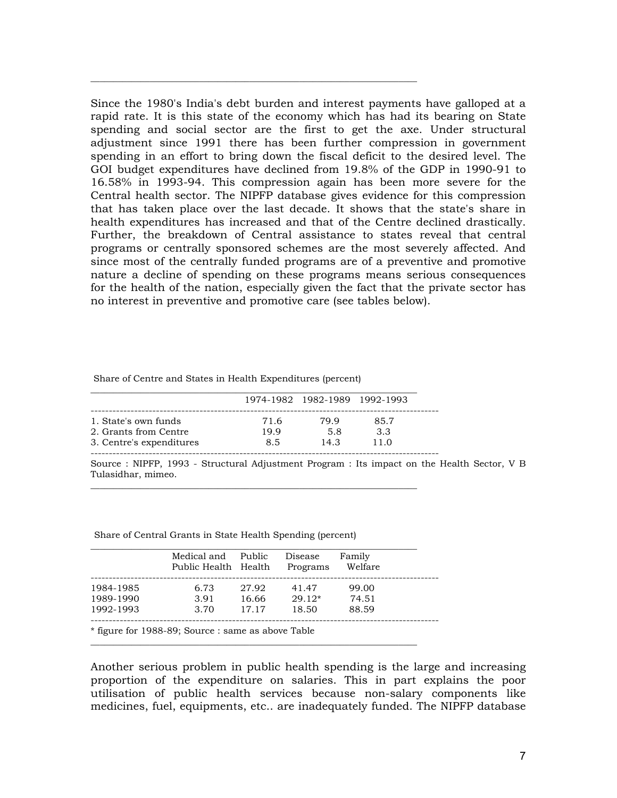Since the 1980's India's debt burden and interest payments have galloped at a rapid rate. It is this state of the economy which has had its bearing on State spending and social sector are the first to get the axe. Under structural adjustment since 1991 there has been further compression in government spending in an effort to bring down the fiscal deficit to the desired level. The GOI budget expenditures have declined from 19.8% of the GDP in 1990-91 to 16.58% in 1993-94. This compression again has been more severe for the Central health sector. The NIPFP database gives evidence for this compression that has taken place over the last decade. It shows that the state's share in health expenditures has increased and that of the Centre declined drastically. Further, the breakdown of Central assistance to states reveal that central programs or centrally sponsored schemes are the most severely affected. And since most of the centrally funded programs are of a preventive and promotive nature a decline of spending on these programs means serious consequences for the health of the nation, especially given the fact that the private sector has no interest in preventive and promotive care (see tables below).

|                          |      | 1974-1982 1982-1989 1992-1993 |      |
|--------------------------|------|-------------------------------|------|
| 1. State's own funds     | 71.6 | 79.9                          | 85.7 |
| 2. Grants from Centre    | 19.9 | 5.8                           | 3.3  |
| 3. Centre's expenditures | 8.5  | 14.3                          | 11.0 |

\_\_\_\_\_\_\_\_\_\_\_\_\_\_\_\_\_\_\_\_\_\_\_\_\_\_\_\_\_\_\_\_\_\_\_\_\_\_\_\_\_\_\_\_\_\_\_\_\_\_\_\_\_\_\_\_\_\_\_\_\_\_\_\_\_\_\_\_\_\_\_\_

\_\_\_\_\_\_\_\_\_\_\_\_\_\_\_\_\_\_\_\_\_\_\_\_\_\_\_\_\_\_\_\_\_\_\_\_\_\_\_\_\_\_\_\_\_\_\_\_\_\_\_\_\_\_\_\_\_\_\_\_\_\_\_\_\_\_\_\_\_\_\_\_

Share of Centre and States in Health Expenditures (percent)

Source : NIPFP, 1993 - Structural Adjustment Program : Its impact on the Health Sector, V B Tulasidhar, mimeo.

------------------------------------------------------------------------------------------------

|           | Medical and<br>Public Health Health | Public | Disease<br>Programs | Family<br>Welfare |
|-----------|-------------------------------------|--------|---------------------|-------------------|
| 1984-1985 | 6.73                                | 27.92  | 41.47               | 99.00             |
| 1989-1990 | 3.91                                | 16.66  | $29.12*$            | 74.51             |
| 1992-1993 | 3.70                                | 17.17  | 18.50               | 88.59             |
|           |                                     |        |                     |                   |

\_\_\_\_\_\_\_\_\_\_\_\_\_\_\_\_\_\_\_\_\_\_\_\_\_\_\_\_\_\_\_\_\_\_\_\_\_\_\_\_\_\_\_\_\_\_\_\_\_\_\_\_\_\_\_\_\_\_\_\_\_\_\_\_\_\_\_\_\_\_\_\_

Share of Central Grants in State Health Spending (percent)

\* figure for 1988-89; Source : same as above Table

Another serious problem in public health spending is the large and increasing proportion of the expenditure on salaries. This in part explains the poor utilisation of public health services because non-salary components like medicines, fuel, equipments, etc.. are inadequately funded. The NIPFP database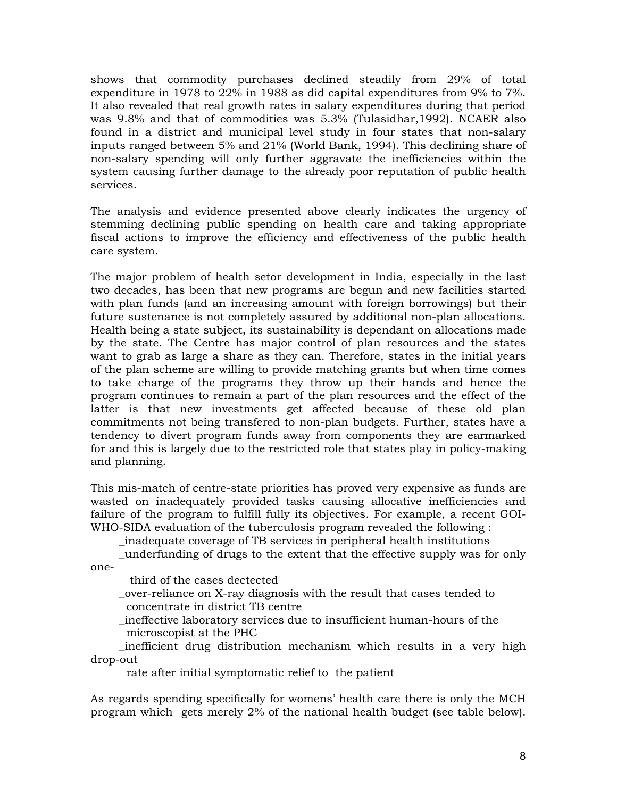shows that commodity purchases declined steadily from 29% of total expenditure in 1978 to 22% in 1988 as did capital expenditures from 9% to 7%. It also revealed that real growth rates in salary expenditures during that period was 9.8% and that of commodities was 5.3% (Tulasidhar,1992). NCAER also found in a district and municipal level study in four states that non-salary inputs ranged between 5% and 21% (World Bank, 1994). This declining share of non-salary spending will only further aggravate the inefficiencies within the system causing further damage to the already poor reputation of public health services.

The analysis and evidence presented above clearly indicates the urgency of stemming declining public spending on health care and taking appropriate fiscal actions to improve the efficiency and effectiveness of the public health care system.

The major problem of health setor development in India, especially in the last two decades, has been that new programs are begun and new facilities started with plan funds (and an increasing amount with foreign borrowings) but their future sustenance is not completely assured by additional non-plan allocations. Health being a state subject, its sustainability is dependant on allocations made by the state. The Centre has major control of plan resources and the states want to grab as large a share as they can. Therefore, states in the initial years of the plan scheme are willing to provide matching grants but when time comes to take charge of the programs they throw up their hands and hence the program continues to remain a part of the plan resources and the effect of the latter is that new investments get affected because of these old plan commitments not being transfered to non-plan budgets. Further, states have a tendency to divert program funds away from components they are earmarked for and this is largely due to the restricted role that states play in policy-making and planning.

This mis-match of centre-state priorities has proved very expensive as funds are wasted on inadequately provided tasks causing allocative inefficiencies and failure of the program to fulfill fully its objectives. For example, a recent GOI-WHO-SIDA evaluation of the tuberculosis program revealed the following :

\_inadequate coverage of TB services in peripheral health institutions

\_underfunding of drugs to the extent that the effective supply was for only

one-

third of the cases dectected

 \_over-reliance on X-ray diagnosis with the result that cases tended to concentrate in district TB centre

 \_ineffective laboratory services due to insufficient human-hours of the microscopist at the PHC

 \_inefficient drug distribution mechanism which results in a very high drop-out

rate after initial symptomatic relief to the patient

As regards spending specifically for womens' health care there is only the MCH program which gets merely 2% of the national health budget (see table below).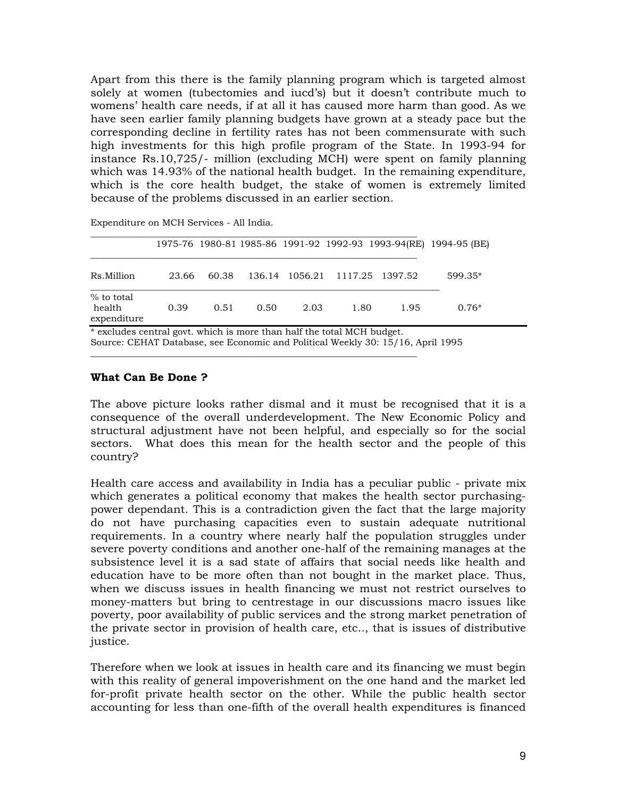Apart from this there is the family planning program which is targeted almost solely at women (tubectomies and iucd's) but it doesn't contribute much to womens' health care needs, if at all it has caused more harm than good. As we have seen earlier family planning budgets have grown at a steady pace but the corresponding decline in fertility rates has not been commensurate with such high investments for this high profile program of the State. In 1993-94 for instance Rs.10,725/- million (excluding MCH) were spent on family planning which was 14.93% of the national health budget. In the remaining expenditure, which is the core health budget, the stake of women is extremely limited because of the problems discussed in an earlier section.

|                                                                                                                                                           |       |       |      |      |      |                                | 1975-76 1980-81 1985-86 1991-92 1992-93 1993-94(RE) 1994-95 (BE) |  |
|-----------------------------------------------------------------------------------------------------------------------------------------------------------|-------|-------|------|------|------|--------------------------------|------------------------------------------------------------------|--|
| Rs.Million                                                                                                                                                | 23.66 | 60.38 |      |      |      | 136.14 1056.21 1117.25 1397.52 | 599.35*                                                          |  |
| % to total<br>health<br>expenditure                                                                                                                       | 0.39  | 0.51  | 0.50 | 2.03 | 1.80 | 1.95                           | $0.76*$                                                          |  |
| * excludes central govt. which is more than half the total MCH budget.<br>Source: CEHAT Database, see Economic and Political Weekly 30: 15/16, April 1995 |       |       |      |      |      |                                |                                                                  |  |

\_\_\_\_\_\_\_\_\_\_\_\_\_\_\_\_\_\_\_\_\_\_\_\_\_\_\_\_\_\_\_\_\_\_\_\_\_\_\_\_\_\_\_\_\_\_\_\_\_\_\_\_\_\_\_\_\_\_\_\_\_\_\_\_\_\_\_\_\_\_\_\_

Expenditure on MCH Services - All India.

#### **What Can Be Done ?**

The above picture looks rather dismal and it must be recognised that it is a consequence of the overall underdevelopment. The New Economic Policy and structural adjustment have not been helpful, and especially so for the social sectors. What does this mean for the health sector and the people of this country?

Health care access and availability in India has a peculiar public - private mix which generates a political economy that makes the health sector purchasingpower dependant. This is a contradiction given the fact that the large majority do not have purchasing capacities even to sustain adequate nutritional requirements. In a country where nearly half the population struggles under severe poverty conditions and another one-half of the remaining manages at the subsistence level it is a sad state of affairs that social needs like health and education have to be more often than not bought in the market place. Thus, when we discuss issues in health financing we must not restrict ourselves to money-matters but bring to centrestage in our discussions macro issues like poverty, poor availability of public services and the strong market penetration of the private sector in provision of health care, etc.., that is issues of distributive justice.

Therefore when we look at issues in health care and its financing we must begin with this reality of general impoverishment on the one hand and the market led for-profit private health sector on the other. While the public health sector accounting for less than one-fifth of the overall health expenditures is financed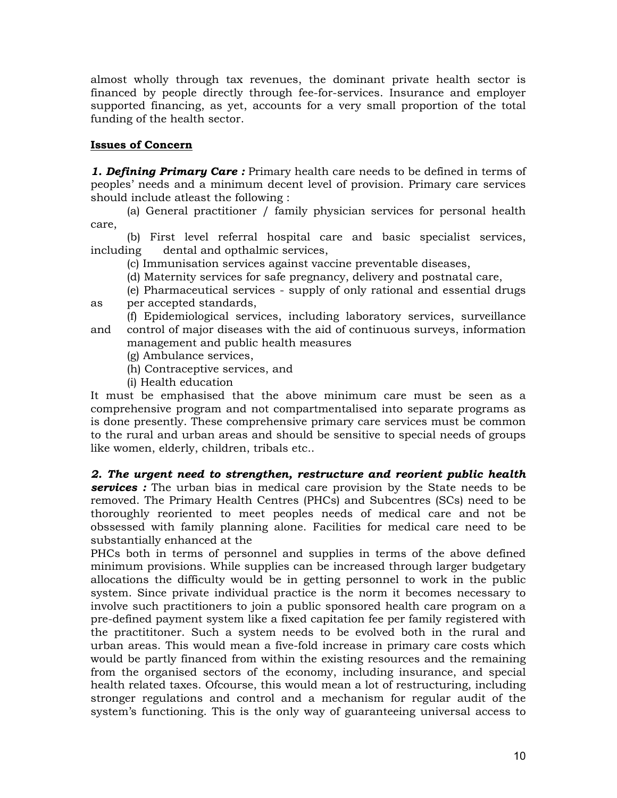almost wholly through tax revenues, the dominant private health sector is financed by people directly through fee-for-services. Insurance and employer supported financing, as yet, accounts for a very small proportion of the total funding of the health sector.

# **Issues of Concern**

*1. Defining Primary Care :* Primary health care needs to be defined in terms of peoples' needs and a minimum decent level of provision. Primary care services should include atleast the following :

 (a) General practitioner / family physician services for personal health care,

 (b) First level referral hospital care and basic specialist services, including dental and opthalmic services,

(c) Immunisation services against vaccine preventable diseases,

(d) Maternity services for safe pregnancy, delivery and postnatal care,

(e) Pharmaceutical services - supply of only rational and essential drugs

as per accepted standards,

 (f) Epidemiological services, including laboratory services, surveillance and control of major diseases with the aid of continuous surveys, information management and public health measures

- (g) Ambulance services,
- (h) Contraceptive services, and
- (i) Health education

It must be emphasised that the above minimum care must be seen as a comprehensive program and not compartmentalised into separate programs as is done presently. These comprehensive primary care services must be common to the rural and urban areas and should be sensitive to special needs of groups like women, elderly, children, tribals etc..

# *2. The urgent need to strengthen, restructure and reorient public health*

*services :* The urban bias in medical care provision by the State needs to be removed. The Primary Health Centres (PHCs) and Subcentres (SCs) need to be thoroughly reoriented to meet peoples needs of medical care and not be obssessed with family planning alone. Facilities for medical care need to be substantially enhanced at the

PHCs both in terms of personnel and supplies in terms of the above defined minimum provisions. While supplies can be increased through larger budgetary allocations the difficulty would be in getting personnel to work in the public system. Since private individual practice is the norm it becomes necessary to involve such practitioners to join a public sponsored health care program on a pre-defined payment system like a fixed capitation fee per family registered with the practititoner. Such a system needs to be evolved both in the rural and urban areas. This would mean a five-fold increase in primary care costs which would be partly financed from within the existing resources and the remaining from the organised sectors of the economy, including insurance, and special health related taxes. Ofcourse, this would mean a lot of restructuring, including stronger regulations and control and a mechanism for regular audit of the system's functioning. This is the only way of guaranteeing universal access to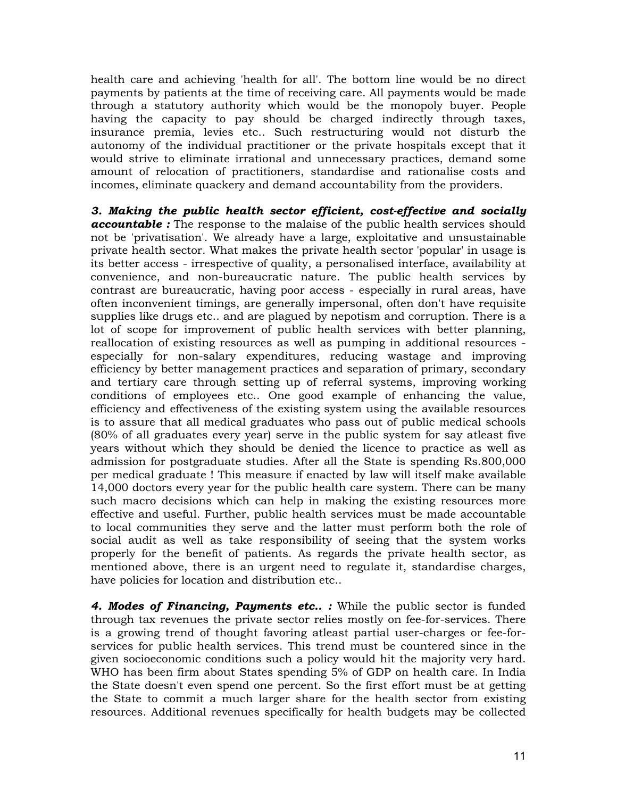health care and achieving 'health for all'. The bottom line would be no direct payments by patients at the time of receiving care. All payments would be made through a statutory authority which would be the monopoly buyer. People having the capacity to pay should be charged indirectly through taxes, insurance premia, levies etc.. Such restructuring would not disturb the autonomy of the individual practitioner or the private hospitals except that it would strive to eliminate irrational and unnecessary practices, demand some amount of relocation of practitioners, standardise and rationalise costs and incomes, eliminate quackery and demand accountability from the providers.

*3. Making the public health sector efficient, cost-effective and socially accountable :* The response to the malaise of the public health services should not be 'privatisation'. We already have a large, exploitative and unsustainable private health sector. What makes the private health sector 'popular' in usage is its better access - irrespective of quality, a personalised interface, availability at convenience, and non-bureaucratic nature. The public health services by contrast are bureaucratic, having poor access - especially in rural areas, have often inconvenient timings, are generally impersonal, often don't have requisite supplies like drugs etc.. and are plagued by nepotism and corruption. There is a lot of scope for improvement of public health services with better planning, reallocation of existing resources as well as pumping in additional resources especially for non-salary expenditures, reducing wastage and improving efficiency by better management practices and separation of primary, secondary and tertiary care through setting up of referral systems, improving working conditions of employees etc.. One good example of enhancing the value, efficiency and effectiveness of the existing system using the available resources is to assure that all medical graduates who pass out of public medical schools (80% of all graduates every year) serve in the public system for say atleast five years without which they should be denied the licence to practice as well as admission for postgraduate studies. After all the State is spending Rs.800,000 per medical graduate ! This measure if enacted by law will itself make available 14,000 doctors every year for the public health care system. There can be many such macro decisions which can help in making the existing resources more effective and useful. Further, public health services must be made accountable to local communities they serve and the latter must perform both the role of social audit as well as take responsibility of seeing that the system works properly for the benefit of patients. As regards the private health sector, as mentioned above, there is an urgent need to regulate it, standardise charges, have policies for location and distribution etc..

*4. Modes of Financing, Payments etc.. :* While the public sector is funded through tax revenues the private sector relies mostly on fee-for-services. There is a growing trend of thought favoring atleast partial user-charges or fee-forservices for public health services. This trend must be countered since in the given socioeconomic conditions such a policy would hit the majority very hard. WHO has been firm about States spending 5% of GDP on health care. In India the State doesn't even spend one percent. So the first effort must be at getting the State to commit a much larger share for the health sector from existing resources. Additional revenues specifically for health budgets may be collected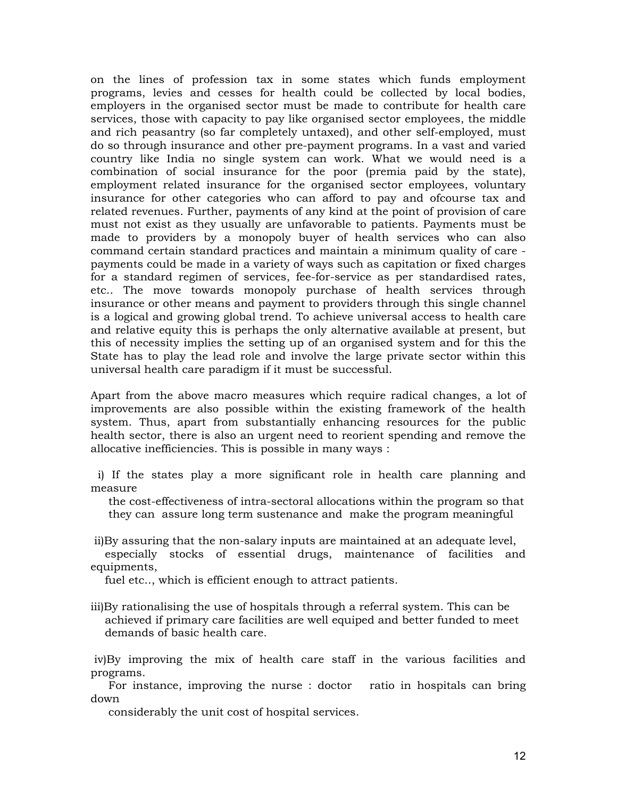on the lines of profession tax in some states which funds employment programs, levies and cesses for health could be collected by local bodies, employers in the organised sector must be made to contribute for health care services, those with capacity to pay like organised sector employees, the middle and rich peasantry (so far completely untaxed), and other self-employed, must do so through insurance and other pre-payment programs. In a vast and varied country like India no single system can work. What we would need is a combination of social insurance for the poor (premia paid by the state), employment related insurance for the organised sector employees, voluntary insurance for other categories who can afford to pay and ofcourse tax and related revenues. Further, payments of any kind at the point of provision of care must not exist as they usually are unfavorable to patients. Payments must be made to providers by a monopoly buyer of health services who can also command certain standard practices and maintain a minimum quality of care payments could be made in a variety of ways such as capitation or fixed charges for a standard regimen of services, fee-for-service as per standardised rates, etc.. The move towards monopoly purchase of health services through insurance or other means and payment to providers through this single channel is a logical and growing global trend. To achieve universal access to health care and relative equity this is perhaps the only alternative available at present, but this of necessity implies the setting up of an organised system and for this the State has to play the lead role and involve the large private sector within this universal health care paradigm if it must be successful.

Apart from the above macro measures which require radical changes, a lot of improvements are also possible within the existing framework of the health system. Thus, apart from substantially enhancing resources for the public health sector, there is also an urgent need to reorient spending and remove the allocative inefficiencies. This is possible in many ways :

 i) If the states play a more significant role in health care planning and measure

 the cost-effectiveness of intra-sectoral allocations within the program so that they can assure long term sustenance and make the program meaningful

 ii)By assuring that the non-salary inputs are maintained at an adequate level, especially stocks of essential drugs, maintenance of facilities and equipments,

fuel etc.., which is efficient enough to attract patients.

iii)By rationalising the use of hospitals through a referral system. This can be achieved if primary care facilities are well equiped and better funded to meet demands of basic health care.

 iv)By improving the mix of health care staff in the various facilities and programs.

 For instance, improving the nurse : doctor ratio in hospitals can bring down

considerably the unit cost of hospital services.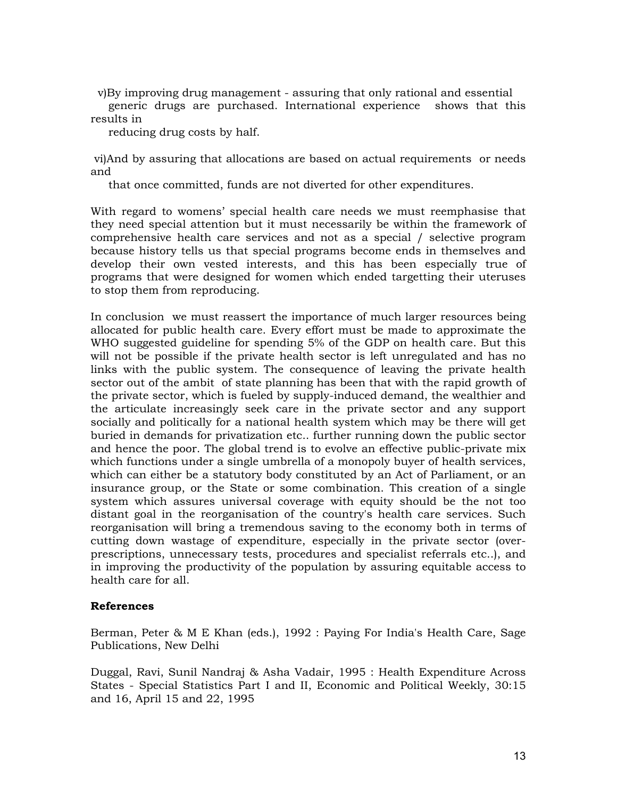v)By improving drug management - assuring that only rational and essential

 generic drugs are purchased. International experience shows that this results in

reducing drug costs by half.

 vi)And by assuring that allocations are based on actual requirements or needs and

that once committed, funds are not diverted for other expenditures.

With regard to womens' special health care needs we must reemphasise that they need special attention but it must necessarily be within the framework of comprehensive health care services and not as a special / selective program because history tells us that special programs become ends in themselves and develop their own vested interests, and this has been especially true of programs that were designed for women which ended targetting their uteruses to stop them from reproducing.

In conclusion we must reassert the importance of much larger resources being allocated for public health care. Every effort must be made to approximate the WHO suggested guideline for spending 5% of the GDP on health care. But this will not be possible if the private health sector is left unregulated and has no links with the public system. The consequence of leaving the private health sector out of the ambit of state planning has been that with the rapid growth of the private sector, which is fueled by supply-induced demand, the wealthier and the articulate increasingly seek care in the private sector and any support socially and politically for a national health system which may be there will get buried in demands for privatization etc.. further running down the public sector and hence the poor. The global trend is to evolve an effective public-private mix which functions under a single umbrella of a monopoly buyer of health services, which can either be a statutory body constituted by an Act of Parliament, or an insurance group, or the State or some combination. This creation of a single system which assures universal coverage with equity should be the not too distant goal in the reorganisation of the country's health care services. Such reorganisation will bring a tremendous saving to the economy both in terms of cutting down wastage of expenditure, especially in the private sector (overprescriptions, unnecessary tests, procedures and specialist referrals etc..), and in improving the productivity of the population by assuring equitable access to health care for all.

# **References**

Berman, Peter & M E Khan (eds.), 1992 : Paying For India's Health Care, Sage Publications, New Delhi

Duggal, Ravi, Sunil Nandraj & Asha Vadair, 1995 : Health Expenditure Across States - Special Statistics Part I and II, Economic and Political Weekly, 30:15 and 16, April 15 and 22, 1995